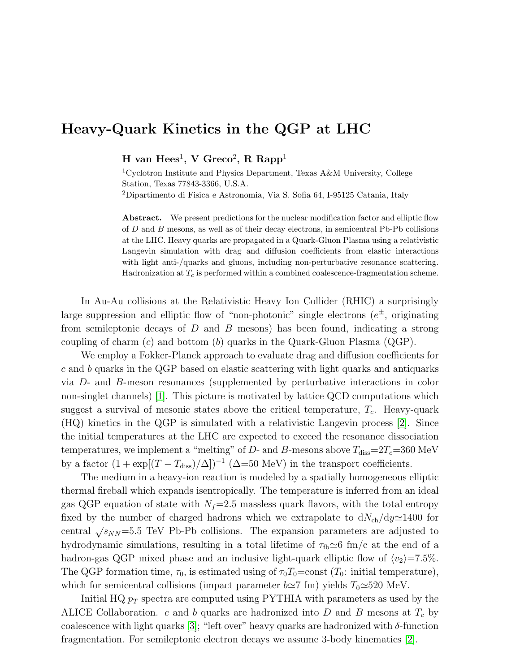## Heavy-Quark Kinetics in the QGP at LHC

H van  $\text{Hees}^1$ , V Greco<sup>2</sup>, R Rapp<sup>1</sup>

<sup>1</sup>Cyclotron Institute and Physics Department, Texas A&M University, College Station, Texas 77843-3366, U.S.A. <sup>2</sup>Dipartimento di Fisica e Astronomia, Via S. Sofia 64, I-95125 Catania, Italy

Abstract. We present predictions for the nuclear modification factor and elliptic flow of D and B mesons, as well as of their decay electrons, in semicentral Pb-Pb collisions at the LHC. Heavy quarks are propagated in a Quark-Gluon Plasma using a relativistic Langevin simulation with drag and diffusion coefficients from elastic interactions with light anti-/quarks and gluons, including non-perturbative resonance scattering. Hadronization at  $T_c$  is performed within a combined coalescence-fragmentation scheme.

In Au-Au collisions at the Relativistic Heavy Ion Collider (RHIC) a surprisingly large suppression and elliptic flow of "non-photonic" single electrons  $(e^{\pm}, o$  originating from semileptonic decays of D and B mesons) has been found, indicating a strong coupling of charm  $(c)$  and bottom  $(b)$  quarks in the Quark-Gluon Plasma (QGP).

We employ a Fokker-Planck approach to evaluate drag and diffusion coefficients for c and b quarks in the QGP based on elastic scattering with light quarks and antiquarks via D- and B-meson resonances (supplemented by perturbative interactions in color non-singlet channels) [\[1\]](#page-1-0). This picture is motivated by lattice QCD computations which suggest a survival of mesonic states above the critical temperature,  $T_c$ . Heavy-quark (HQ) kinetics in the QGP is simulated with a relativistic Langevin process [\[2\]](#page-1-1). Since the initial temperatures at the LHC are expected to exceed the resonance dissociation temperatures, we implement a "melting" of D- and B-mesons above  $T_{\text{diss}}=2T_c=360 \text{ MeV}$ by a factor  $(1 + \exp[(T - T_{\text{diss}})/\Delta])^{-1}$  ( $\Delta = 50 \text{ MeV}$ ) in the transport coefficients.

The medium in a heavy-ion reaction is modeled by a spatially homogeneous elliptic thermal fireball which expands isentropically. The temperature is inferred from an ideal gas QGP equation of state with  $N_f=2.5$  massless quark flavors, with the total entropy fixed by the number of charged hadrons which we extrapolate to  $dN_{ch}/dy \approx 1400$  for central  $\sqrt{s_{NN}}$ =5.5 TeV Pb-Pb collisions. The expansion parameters are adjusted to hydrodynamic simulations, resulting in a total lifetime of  $\tau_{\text{fb}}\simeq 6$  fm/c at the end of a hadron-gas QGP mixed phase and an inclusive light-quark elliptic flow of  $\langle v_2 \rangle = 7.5\%$ . The QGP formation time,  $\tau_0$ , is estimated using of  $\tau_0T_0=\text{const } (T_0:$  initial temperature), which for semicentral collisions (impact parameter  $b\simeq 7$  fm) yields  $T_0\simeq 520$  MeV.

Initial HQ  $p_T$  spectra are computed using PYTHIA with parameters as used by the ALICE Collaboration. c and b quarks are hadronized into D and B mesons at  $T_c$  by coalescence with light quarks [\[3\]](#page-1-2); "left over" heavy quarks are hadronized with  $\delta$ -function fragmentation. For semileptonic electron decays we assume 3-body kinematics [\[2\]](#page-1-1).